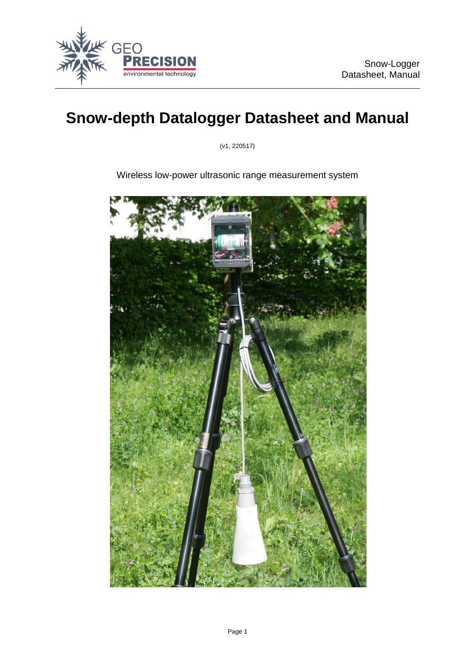

# **Snow-depth Datalogger Datasheet and Manual**

(v1, 220517)

Wireless low-power ultrasonic range measurement system

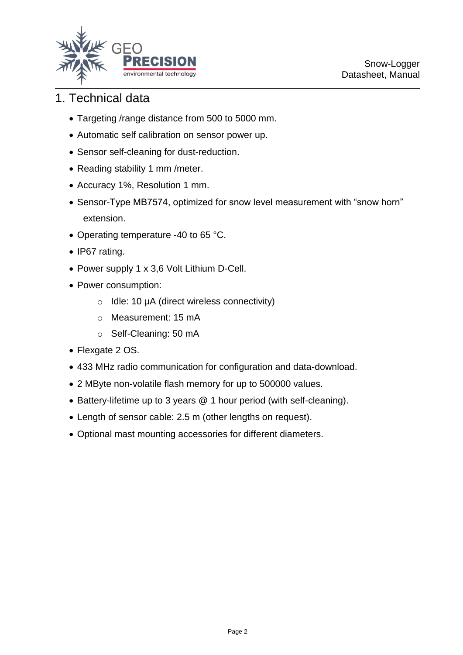

### 1. Technical data

- Targeting /range distance from 500 to 5000 mm.
- Automatic self calibration on sensor power up.
- Sensor self-cleaning for dust-reduction.
- Reading stability 1 mm / meter.
- Accuracy 1%, Resolution 1 mm.
- Sensor-Type MB7574, optimized for snow level measurement with "snow horn" extension.
- Operating temperature -40 to 65 °C.
- IP67 rating.
- Power supply 1 x 3,6 Volt Lithium D-Cell.
- Power consumption:
	- o Idle: 10 µA (direct wireless connectivity)
	- o Measurement: 15 mA
	- o Self-Cleaning: 50 mA
- Flexgate 2 OS.
- 433 MHz radio communication for configuration and data-download.
- 2 MByte non-volatile flash memory for up to 500000 values.
- Battery-lifetime up to 3 years @ 1 hour period (with self-cleaning).
- Length of sensor cable: 2.5 m (other lengths on request).
- Optional mast mounting accessories for different diameters.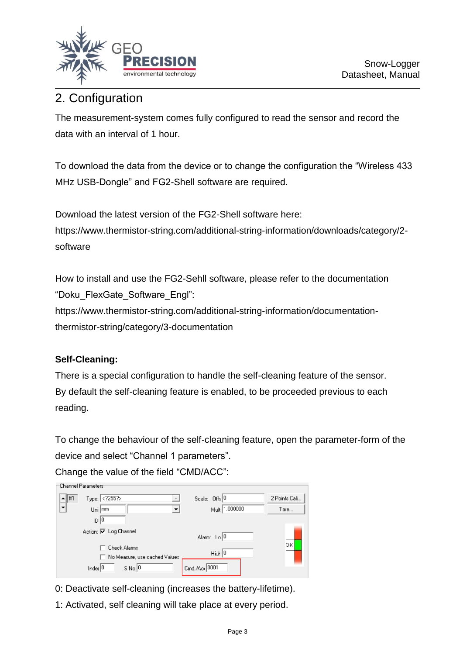

## 2. Configuration

The measurement-system comes fully configured to read the sensor and record the data with an interval of 1 hour.

To download the data from the device or to change the configuration the "Wireless 433 MHz USB-Dongle" and FG2-Shell software are required.

Download the latest version of the FG2-Shell software here: https://www.thermistor-string.com/additional-string-information/downloads/category/2 software

How to install and use the FG2-Sehll software, please refer to the documentation "Doku\_FlexGate\_Software\_Engl":

https://www.thermistor-string.com/additional-string-information/documentationthermistor-string/category/3-documentation

### **Self-Cleaning:**

There is a special configuration to handle the self-cleaning feature of the sensor. By default the self-cleaning feature is enabled, to be proceeded previous to each reading.

To change the behaviour of the self-cleaning feature, open the parameter-form of the device and select "Channel 1 parameters".

Change the value of the field "CMD/ACC":

| 'Uhannel Parameters'  |                                    |                                  |               |
|-----------------------|------------------------------------|----------------------------------|---------------|
| $\blacktriangle$   #1 | Type: 255?                         | Scale: Offs <sup>0</sup>         | 2 Points Cali |
| ▼                     | Uni mm                             | Mult 1.000000                    | Tare          |
|                       | D 0                                |                                  |               |
|                       | Action: Ø Log Channel              | Alarm: In 0                      |               |
|                       | <b>Check Alarms</b>                |                                  | OK            |
|                       | No Measure, use cached Values      | High $ 0 $                       |               |
|                       | Inde: $ 0 $<br>$S.No$ <sup>0</sup> | $C_{\text{md.}/\text{Acr}}$ 0001 |               |

- 0: Deactivate self-cleaning (increases the battery-lifetime).
- 1: Activated, self cleaning will take place at every period.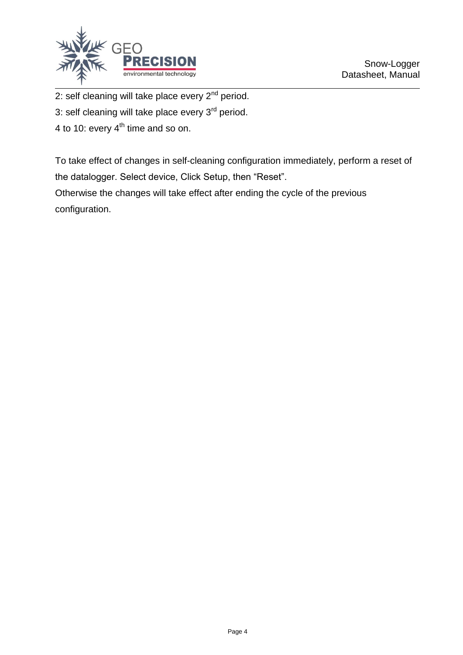

2: self cleaning will take place every  $2<sup>nd</sup>$  period.

3: self cleaning will take place every 3<sup>rd</sup> period.

4 to 10: every  $4<sup>th</sup>$  time and so on.

To take effect of changes in self-cleaning configuration immediately, perform a reset of the datalogger. Select device, Click Setup, then "Reset".

Otherwise the changes will take effect after ending the cycle of the previous configuration.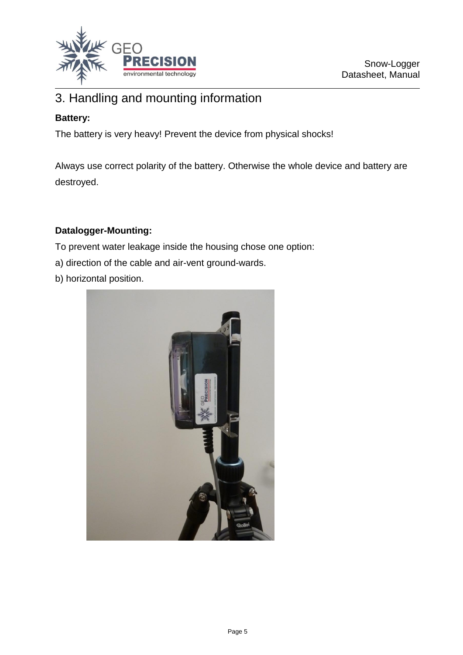

### 3. Handling and mounting information

### **Battery:**

The battery is very heavy! Prevent the device from physical shocks!

Always use correct polarity of the battery. Otherwise the whole device and battery are destroyed.

#### **Datalogger-Mounting:**

To prevent water leakage inside the housing chose one option:

- a) direction of the cable and air-vent ground-wards.
- b) horizontal position.